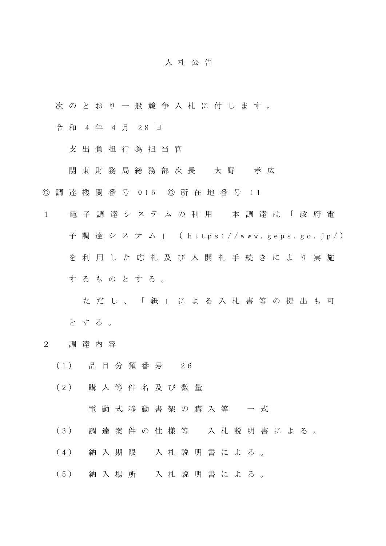## 入 札 公 告

- 次 の と お り 一 般 競 争 入 札 に 付 し ま す 。
- 令 和 4 年 4 月 2 8 日
	- 支 出 負 担 行 為 担 当 官
	- 関 東 財 務 局 総 務 部 次 長 大 野 孝 広
- ◎ 調 達 機 関 番 号 0 1 5 ◎ 所 在 地 番 号 1 1
- 1 電 子 調 達 シ ス テ ム の 利 用 本 調 達 は 「 政 府 電 子 調 達 シ ス テ ム 」 ( h t t p s : / / w w w . g e p s . g o . j p / ) を 利 用 し た 応 札 及 び 入 開 札 手 続 き に よ り 実 施 す る も の と す る 。
	- た だ し 、 「 紙 」 に よ る 入 札 書 等 の 提 出 も 可 と す る 。
- 2 調 達 内 容
	- ( 1 ) 品 目 分 類 番 号 2 6
	- ( 2 ) 購 入 等 件 名 及 び 数 量
		- 電動式移動書架の購入等 一式
	- ( 3 ) 調 達 案 件 の 仕 様 等 入 札 説 明 書 に よ る 。
	- ( 4 ) 納 入 期 限 入 札 説 明 書 に よ る 。
	- ( 5 ) 納 入 場 所 入 札 説 明 書 に よ る 。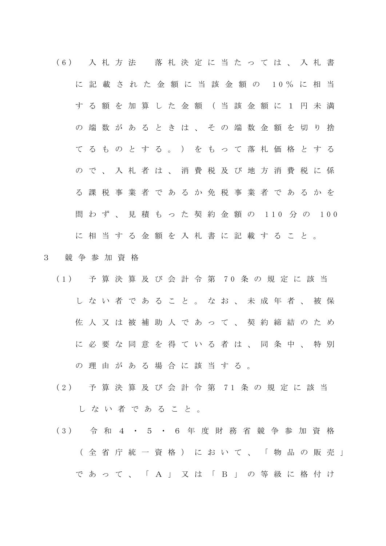- ( 6 ) 入 札 方 法 落 札 決 定 に 当 た っ て は 、 入 札 書 に 記 載 さ れ た 金 額 に 当 該 金 額 の 1 0 % に 相 当 す る 額 を 加 算 し た 金 額 ( 当 該 金 額 に 1 円 未 満 の 端 数 が あ る と き は 、 そ の 端 数 金 額 を 切 り 捨 て る も の と す る 。 ) を も っ て 落 札 価 格 と す る ので、入札者は、消費税及び地方消費税に係 る 課 税 事 業 者 で あ る か 免 税 事 業 者 で あ る か を 問 わ ず 、 見 積 も っ た 契 約 金 額 の 110 分 の 100 に 相 当 す る 金 額 を 入 札 書 に 記 載 す る こ と 。
- 3 競 争 参 加 資 格
	- ( 1 ) 予 算 決 算 及 び 会 計 令 第 7 0 条 の 規 定 に 該 当 し な い 者 で あ る こ と 。 な お 、 未 成 年 者 、 被 保 佐 人 又 は 被 補 助 人 で あ っ て 、 契 約 締 結 の た め に必要な同意を得ている者は、同条中、特別 の 理 由 が あ る 場 合 に 該 当 す る 。
	- ( 2 ) 予 算 決 算 及 び 会 計 令 第 7 1 条 の 規 定 に 該 当 し な い 者 で あ る こ と 。
	- ( 3 ) 令 和 4 ・ 5 ・ 6 年 度 財 務 省 競 争 参 加 資 格 ( 全 省 庁 統 一 資 格 ) に お い て 、 「 物 品 の 販 売 」 で あ っ て 、 「 A 」 又 は 「 B 」 の 等 級 に 格 付 け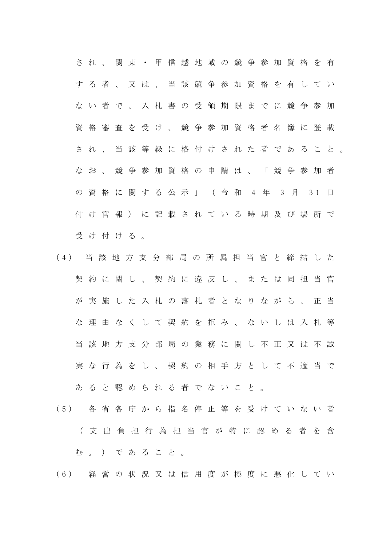され、関東·甲信越地域の競争参加資格を有 す る 者 、 又 は 、 当 該 競 争 参 加 資 格 を 有 し て い ない者で、入札書の受領期限までに競争参加 資格審査を受け、競争参加資格者名簿に登載 さ れ 、 当 該 等 級 に 格 付 け さ れ た 者 で あ る こ と 。 なお、競争参加資格の申請は、「競争参加者 の資格に関する公示 | (令和 4年 3月 31日 付 け 官 報 ) に 記 載 さ れ て い る 時 期 及 び 場 所 で 受け付ける。

- ( 4 ) 当 該 地 方 支 分 部 局 の 所 属 担 当 官 と 締 結 し た 契約に関し、契約に違反し、または同担当官 が 実 施 し た 入 札 の 落 札 者 と な り な が ら 、 正 当 な 理 由 な く し て 契 約 を 拒 み 、 な い し は 入 札 等 当 該 地 方 支 分 部 局 の 業 務 に 関 し 不 正 又 は 不 誠 実 な 行 為 を し 、 契 約 の 相 手 方 と し て 不 適 当 で あ る と 認 め ら れ る 者 で な い こ と 。
- ( 5 ) 各 省 各 庁 か ら 指 名 停 止 等 を 受 け て い な い 者 ( 支 出 負 担 行 為 担 当 官 が 特 に 認 め る 者 を 含 む 。 ) で あ る こ と 。

( 6 ) 経 営 の 状 況 又 は 信 用 度 が 極 度 に 悪 化 し て い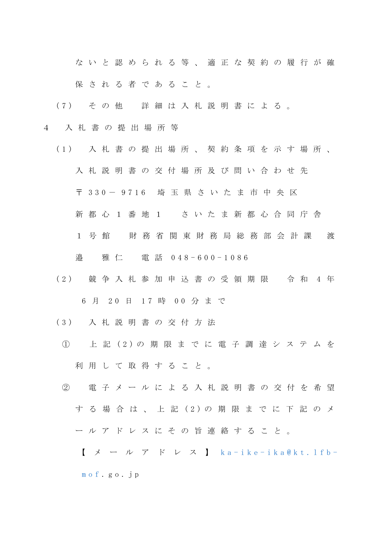な い と 認 め ら れ る 等 、 適 正 な 契 約 の 履 行 が 確

保 さ れ る 者 で あ る こ と 。

- ( 7 ) そ の 他 詳 細 は 入 札 説 明 書 に よ る 。
- 4 入 札 書 の 提 出 場 所 等
	- ( 1 ) 入 札 書 の 提 出 場 所 、 契 約 条 項 を 示 す 場 所 、 入 札 説 明 書 の 交 付 場 所 及 び 問 い 合 わ せ 先
		- 〒 3 3 0 9 7 1 6 埼 玉 県 さ い た ま 市 中 央 区
		- 新都 心 1 番 地 1 さ い た ま 新 都 心 合 同 庁 舎
		- 1 号館 財 務 省 関 東 財 務 局 総 務 部 会 計 課 渡 邉 雅 仁 電 話 0 4 8 - 6 0 0 - 1 0 8 6
	- (2) 競争入札参加申込書の受領期限 令和 4年 6 月 20 日 17 時 00 分 ま で
	- ( 3 ) 入 札 説 明 書 の 交 付 方 法
		- ① 上 記 ( 2 ) の 期 限 ま で に 電 子 調 達 シ ス テ ム を 利用して取得すること。
	- ② 電 子 メ ー ル に よ る 入 札 説 明 書 の 交 付 を 希 望 す る 場 合 は 、 上 記 ( 2 ) の 期 限 ま で に 下 記 の メ ー ル ア ド レ ス に そ の 旨 連 絡 す る こ と 。
		- $\left[\begin{array}{cc} \times & \end{array}\right]$   $\mathcal{V}$   $\mathcal{V}$   $\mathcal{V}$   $\mathcal{V}$   $\mathcal{V}$   $\mathcal{V}$   $\mathcal{V}$   $\mathcal{V}$   $\mathcal{V}$   $\mathcal{V}$   $\mathcal{V}$   $\mathcal{V}$   $\mathcal{V}$   $\mathcal{V}$   $\mathcal{V}$   $\mathcal{V}$   $\mathcal{V}$   $\mathcal{V}$   $\mathcal{V}$   $\mathcal{V}$   $\mathcal{V}$   $\mathcal{V}$  m o f . g o . j p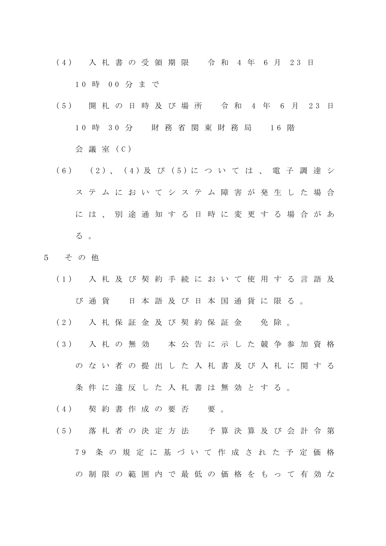- ( 4 ) 入 札 書 の 受 領 期 限 令 和 4 年 6 月 2 3 日 1 0 時 0 0 分 ま で
- ( 5 ) 開 札 の 日 時 及 び 場 所 令 和 4 年 6 月 2 3 日 1 0 時 3 0 分 財 務 省 関 東 財 務 局 1 6 階 会 議 室 ( C )
- ( 6 ) ( 2 ) 、 ( 4 ) 及 び ( 5 ) に つ い て は 、 電 子 調 達 シ ス テ ム に お い て シ ス テ ム 障 害 が 発 生 し た 場 合 に は 、 別 途 通 知 す る 日 時 に 変 更 す る 場 合 が あ る 。
- 5 そ の 他
	- ( 1 ) 入 札 及 び 契 約 手 続 に お い て 使 用 す る 言 語 及 び 通 貨 日 本 語 及 び 日 本 国 通 貨 に 限 る 。
	- (2) 入札保証金及び契約保証金 免除。
	- ( 3 ) 入 札 の 無 効 本 公 告 に 示 し た 競 争 参 加 資 格 の な い 者 の 提 出 し た 入 札 書 及 び 入 札 に 関 す る

条件に違反した入札書は無効とする。

- (4) 契約書作成の要否 要。
- ( 5 ) 落 札 者 の 決 定 方 法 予 算 決 算 及 び 会 計 令 第 7 9 条 の 規 定 に 基 づ い て 作 成 さ れ た 予 定 価 格 の 制 限 の 範 囲 内 で 最 低 の 価 格 を も っ て 有 効 な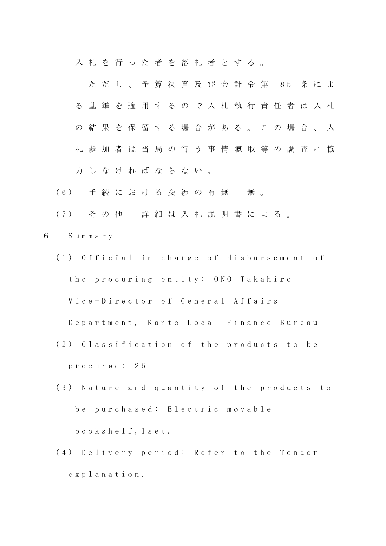入札を行った者を落札者とする。

た だ し 、 予 算 決 算 及 び 会 計 令 第 8 5 条 に よ る 基 準 を 適 用 す る の で 入 札 執 行 責 任 者 は 入 札 の 結 果 を 保 留 す る 場 合 が あ る 。 こ の 場 合 、 入 札 参 加 者 は 当 局 の 行 う 事 情 聴 取 等 の 調 査 に 協 力 し な け れ ば な ら な い 。

- (6) 手続における交渉の有無 無。
- ( 7 ) そ の 他 詳 細 は 入 札 説 明 書 に よ る 。
- 6 S u m m a r y
	- (1) Official in charge of disbursement of the procuring entity: ONO Takahiro Vice-Director of General Affairs

Department, Kanto Local Finance Bureau

- (2) Classification of the products to be p r o c u r e d : 2 6
- (3) Nature and quantity of the products to be purchased: Electric movable b o o k s h e l f , 1 s e t .
- (4) Delivery period: Refer to the Tender e x p l a n a t i o n .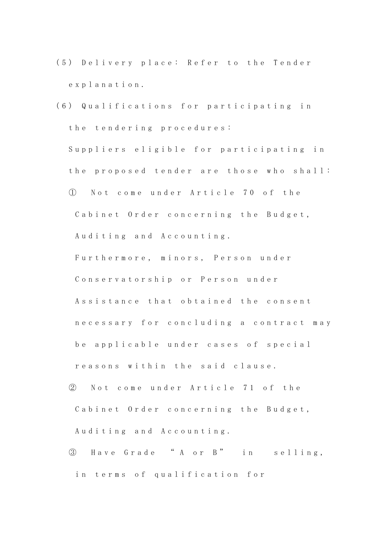- (5) Delivery place: Refer to the Tender e x p l a n a t i o n .
- (6) Qualifications for participating in the tendering procedures: Suppliers eligible for participating in the proposed tender are those who shall: ① N o t c o m e u n d e r A r t i c l e 7 0 o f t h e Cabinet Order concerning the Budget, Auditing and Accounting. Furthermore, minors, Person under Conservatorship or Person under Assistance that obtained the consent n e c e s s a r y f o r c o n c l u d i n g a c o n t r a c t m a y be applicable under cases of special reasons within the said clause.
	- ② Not come under Article 71 of the Cabinet Order concerning the Budget, Auditing and Accounting.
	- ③ H a v e G r a d e " A o r B " i n s e l l i n g , in terms of qualification for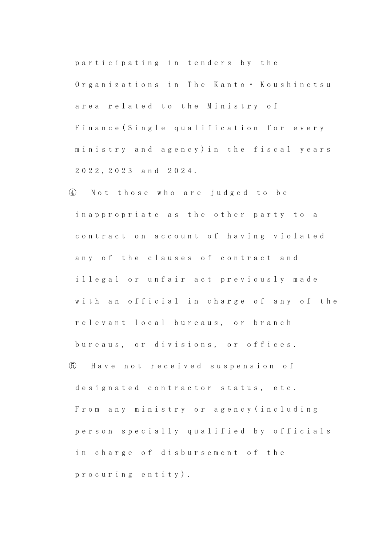participating in tenders by the Organizations in The Kanto · Koushinetsu area related to the Ministry of Finance (Single qualification for every ministry and agency) in the fiscal years 2 0 2 2 , 2 0 2 3 a n d 2 0 2 4 .

④ N o t t h o s e w h o a r e j u d g e d t o b e in a p p r o p r i a t e a s the other party to a contract on account of having violated any of the clauses of contract and illegal or unfair act previously made with an official in charge of any of the relevant local bureaus, or branch bureaus, or divisions, or offices. ⑤ H a v e n o t r e c e i v e d s u s p e n s i o n o f designated contractor status, etc. From any ministry or agency (including person specially qualified by officials

in charge of disbursement of the

p r o c u r i n g e n t i t y ) .